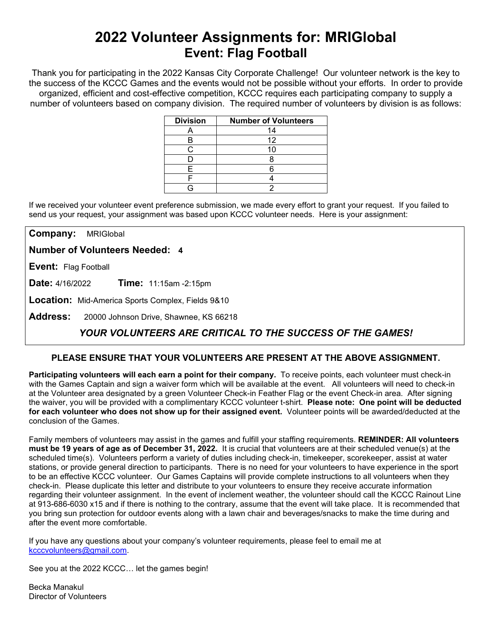# **2022 Volunteer Assignments for: MRIGlobal Event: Flag Football**

Thank you for participating in the 2022 Kansas City Corporate Challenge! Our volunteer network is the key to the success of the KCCC Games and the events would not be possible without your efforts.In order to provide organized, efficient and cost-effective competition, KCCC requires each participating company to supply a number of volunteers based on company division. The required number of volunteers by division is as follows:

| <b>Division</b> | <b>Number of Volunteers</b> |
|-----------------|-----------------------------|
|                 | 14                          |
|                 | 12                          |
|                 |                             |
|                 |                             |
|                 |                             |
|                 |                             |
|                 |                             |

If we received your volunteer event preference submission, we made every effort to grant your request. If you failed to send us your request, your assignment was based upon KCCC volunteer needs. Here is your assignment:

**Company:** MRIGlobal

**Number of Volunteers Needed: 4**

**Event:** Flag Football

**Date:** 4/16/2022 **Time:** 11:15am -2:15pm

**Location:** Mid-America Sports Complex, Fields 9&10

**Address:** 20000 Johnson Drive, Shawnee, KS 66218

## *YOUR VOLUNTEERS ARE CRITICAL TO THE SUCCESS OF THE GAMES!*

### **PLEASE ENSURE THAT YOUR VOLUNTEERS ARE PRESENT AT THE ABOVE ASSIGNMENT.**

**Participating volunteers will each earn a point for their company.** To receive points, each volunteer must check-in with the Games Captain and sign a waiver form which will be available at the event. All volunteers will need to check-in at the Volunteer area designated by a green Volunteer Check-in Feather Flag or the event Check-in area. After signing the waiver, you will be provided with a complimentary KCCC volunteer t-shirt. **Please note: One point will be deducted for each volunteer who does not show up for their assigned event.** Volunteer points will be awarded/deducted at the conclusion of the Games.

Family members of volunteers may assist in the games and fulfill your staffing requirements. **REMINDER: All volunteers must be 19 years of age as of December 31, 2022.** It is crucial that volunteers are at their scheduled venue(s) at the scheduled time(s). Volunteers perform a variety of duties including check-in, timekeeper, scorekeeper, assist at water stations, or provide general direction to participants. There is no need for your volunteers to have experience in the sport to be an effective KCCC volunteer. Our Games Captains will provide complete instructions to all volunteers when they check-in. Please duplicate this letter and distribute to your volunteers to ensure they receive accurate information regarding their volunteer assignment. In the event of inclement weather, the volunteer should call the KCCC Rainout Line at 913-686-6030 x15 and if there is nothing to the contrary, assume that the event will take place. It is recommended that you bring sun protection for outdoor events along with a lawn chair and beverages/snacks to make the time during and after the event more comfortable.

If you have any questions about your company's volunteer requirements, please feel to email me at [kcccvolunteers@gmail.com.](mailto:kcccvolunteers@gmail.com)

See you at the 2022 KCCC… let the games begin!

Becka Manakul Director of Volunteers